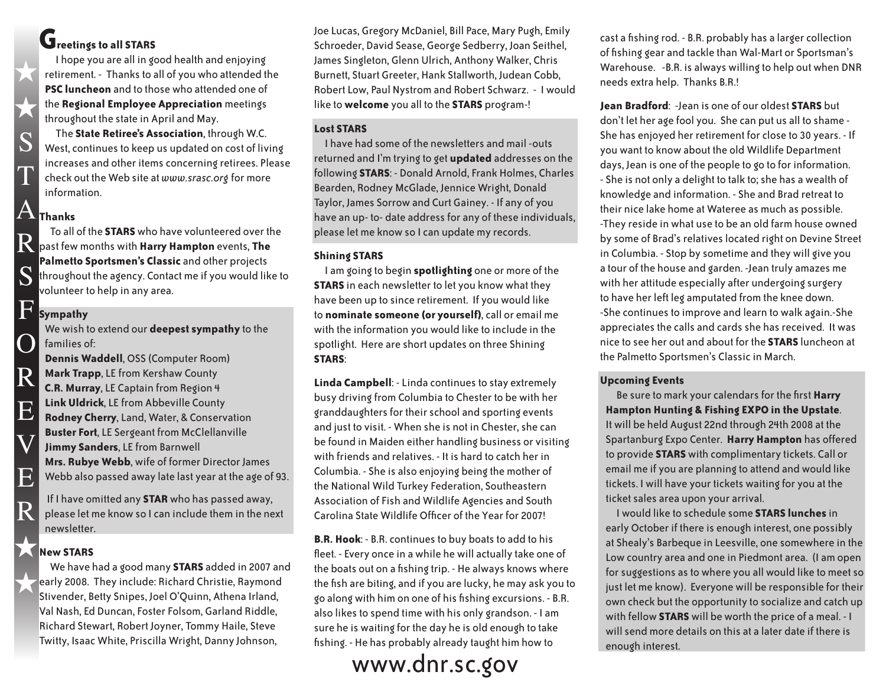### **Greetings to all STARS**

 I hope you are all in good health and enjoying retirement. - Thanks to all of you who attended the **PSC luncheon** and to those who attended one of the **Regional Employee Appreciation** meetings throughout the state in April and May.

 The **State Retiree's Association**, through W.C. West, continues to keep us updated on cost of living increases and other items concerning retirees. Please check out the Web site at *www.srasc.org* for more information.

# **Thanks** A

 $\bigstar$ 

 $\bigstar$ 

S

T

S

 $\overline{()}$ 

R

E

V

E

R

 To all of the **STARS** who have volunteered over the **Past few months with Harry Hampton** events, The **Palmetto Sportsmen's Classic** and other projects throughout the agency. Contact me if you would like to volunteer to help in any area.

#### **Sympathy** F

We wish to extend our **deepest sympathy** to the families of:

**Dennis Waddell**, OSS (Computer Room) **Mark Trapp**, LE from Kershaw County **C.R. Murray**, LE Captain from Region 4 **Link Uldrick**, LE from Abbeville County **Rodney Cherry**, Land, Water, & Conservation **Buster Fort**, LE Sergeant from McClellanville **Jimmy Sanders**, LE from Barnwell **Mrs. Rubye Webb**, wife of former Director James Webb also passed away late last year at the age of 93.

 If I have omitted any **STAR** who has passed away, please let me know so I can include them in the next newsletter.

### **New STARS**  $\bigstar$

 We have had a good many **STARS** added in 2007 and early 2008. They include: Richard Christie, Raymond Stivender, Betty Snipes, Joel O'Quinn, Athena Irland, Val Nash, Ed Duncan, Foster Folsom, Garland Riddle, Richard Stewart, Robert Joyner, Tommy Haile, Steve Twitty, Isaac White, Priscilla Wright, Danny Johnson,  $\bigstar$ 

Joe Lucas, Gregory McDaniel, Bill Pace, Mary Pugh, Emily Schroeder, David Sease, George Sedberry, Joan Seithel, James Singleton, Glenn Ulrich, Anthony Walker, Chris Burnett, Stuart Greeter, Hank Stallworth, Judean Cobb, Robert Low, Paul Nystrom and Robert Schwarz. - I would like to **welcome** you all to the **STARS** program-!

### **Lost STARS**

 I have had some of the newsletters and mail -outs returned and I'm trying to get **updated** addresses on the following **STARS**: - Donald Arnold, Frank Holmes, Charles Bearden, Rodney McGlade, Jennice Wright, Donald Taylor, James Sorrow and Curt Gainey. - If any of you have an up- to- date address for any of these individuals, please let me know so I can update my records.

### **Shining STARS**

 I am going to begin **spotlighting** one or more of the **STARS** in each newsletter to let you know what they have been up to since retirement. If you would like to **nominate someone (or yourself)**, call or email me with the information you would like to include in the spotlight. Here are short updates on three Shining **STARS**:

**Linda Campbell**: - Linda continues to stay extremely busy driving from Columbia to Chester to be with her granddaughters for their school and sporting events and just to visit. - When she is not in Chester, she can be found in Maiden either handling business or visiting with friends and relatives. - It is hard to catch her in Columbia. - She is also enjoying being the mother of the National Wild Turkey Federation, Southeastern Association of Fish and Wildlife Agencies and South Carolina State Wildlife Officer of the Year for 2007!

**B.R. Hook**: - B.R. continues to buy boats to add to his fleet. - Every once in a while he will actually take one of the boats out on a fishing trip. - He always knows where the fish are biting, and if you are lucky, he may ask you to go along with him on one of his fishing excursions. - B.R. also likes to spend time with his only grandson. - I am sure he is waiting for the day he is old enough to take fishing. - He has probably already taught him how to

## www.dnr.sc.gov

cast a fishing rod. - B.R. probably has a larger collection of fishing gear and tackle than Wal-Mart or Sportsman's Warehouse. -B.R. is always willing to help out when DNR needs extra help. Thanks B.R.!

**Jean Bradford**: -Jean is one of our oldest **STARS** but don't let her age fool you. She can put us all to shame - She has enjoyed her retirement for close to 30 years. - If you want to know about the old Wildlife Department days, Jean is one of the people to go to for information. - She is not only a delight to talk to; she has a wealth of knowledge and information. - She and Brad retreat to their nice lake home at Wateree as much as possible. -They reside in what use to be an old farm house owned by some of Brad's relatives located right on Devine Street in Columbia. - Stop by sometime and they will give you a tour of the house and garden. -Jean truly amazes me with her attitude especially after undergoing surgery to have her left leg amputated from the knee down. -She continues to improve and learn to walk again.-She appreciates the calls and cards she has received. It was nice to see her out and about for the **STARS** luncheon at the Palmetto Sportsmen's Classic in March.

### **Upcoming Events**

 Be sure to mark your calendars for the first **Harry Hampton Hunting & Fishing EXPO in the Upstate**. It will be held August 22nd through 24th 2008 at the Spartanburg Expo Center. **Harry Hampton** has offered to provide **STARS** with complimentary tickets. Call or email me if you are planning to attend and would like tickets. I will have your tickets waiting for you at the ticket sales area upon your arrival.

 I would like to schedule some **STARS lunches** in early October if there is enough interest, one possibly at Shealy's Barbeque in Leesville, one somewhere in the Low country area and one in Piedmont area. (I am open for suggestions as to where you all would like to meet so just let me know). Everyone will be responsible for their own check but the opportunity to socialize and catch up with fellow **STARS** will be worth the price of a meal. - I will send more details on this at a later date if there is enough interest.